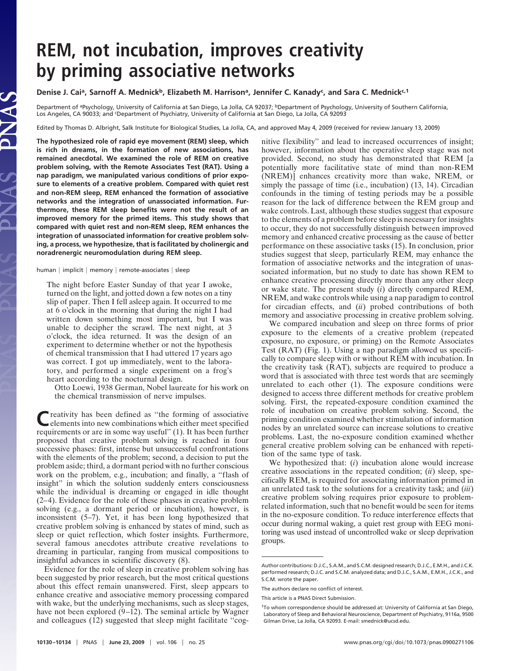# **REM, not incubation, improves creativity by priming associative networks**

## Denise J. Cai<sup>a</sup>, Sarnoff A. Mednick<sup>b</sup>, Elizabeth M. Harrison<sup>a</sup>, Jennifer C. Kanady<sup>c</sup>, and Sara C. Mednick<sup>c,1</sup>

Department of <sup>a</sup>Psychology, University of California at San Diego, La Jolla, CA 92037; <sup>b</sup>Department of Psychology, University of Southern California, Los Angeles, CA 90033; and 'Department of Psychiatry, University of California at San Diego, La Jolla, CA 92093

Edited by Thomas D. Albright, Salk Institute for Biological Studies, La Jolla, CA, and approved May 4, 2009 (received for review January 13, 2009)

**The hypothesized role of rapid eye movement (REM) sleep, which is rich in dreams, in the formation of new associations, has remained anecdotal. We examined the role of REM on creative problem solving, with the Remote Associates Test (RAT). Using a nap paradigm, we manipulated various conditions of prior exposure to elements of a creative problem. Compared with quiet rest and non-REM sleep, REM enhanced the formation of associative networks and the integration of unassociated information. Furthermore, these REM sleep benefits were not the result of an improved memory for the primed items. This study shows that compared with quiet rest and non-REM sleep, REM enhances the integration of unassociated information for creative problem solving, a process, we hypothesize, that is facilitated by cholinergic and noradrenergic neuromodulation during REM sleep.**

## human | implicit | memory | remote-associates | sleep

The night before Easter Sunday of that year I awoke, turned on the light, and jotted down a few notes on a tiny slip of paper. Then I fell asleep again. It occurred to me at 6 o'clock in the morning that during the night I had written down something most important, but I was unable to decipher the scrawl. The next night, at 3 o'clock, the idea returned. It was the design of an experiment to determine whether or not the hypothesis of chemical transmission that I had uttered 17 years ago was correct. I got up immediately, went to the laboratory, and performed a single experiment on a frog's heart according to the nocturnal design.

Otto Loewi, 1938 German, Nobel laureate for his work on the chemical transmission of nerve impulses.

**Treativity has been defined as "the forming of associative"** elements into new combinations which either meet specified requirements or are in some way useful'' (1). It has been further proposed that creative problem solving is reached in four successive phases: first, intense but unsuccessful confrontations with the elements of the problem; second, a decision to put the problem aside; third, a dormant period with no further conscious work on the problem, e.g., incubation; and finally, a ''flash of insight'' in which the solution suddenly enters consciousness while the individual is dreaming or engaged in idle thought (2–4). Evidence for the role of these phases in creative problem solving (e.g., a dormant period or incubation), however, is inconsistent (5–7). Yet, it has been long hypothesized that creative problem solving is enhanced by states of mind, such as sleep or quiet reflection, which foster insights. Furthermore, several famous anecdotes attribute creative revelations to dreaming in particular, ranging from musical compositions to insightful advances in scientific discovery (8).

Evidence for the role of sleep in creative problem solving has been suggested by prior research, but the most critical questions about this effect remain unanswered. First, sleep appears to enhance creative and associative memory processing compared with wake, but the underlying mechanisms, such as sleep stages, have not been explored (9–12). The seminal article by Wagner and colleagues (12) suggested that sleep might facilitate ''cognitive flexibility'' and lead to increased occurrences of insight; however, information about the operative sleep stage was not provided. Second, no study has demonstrated that REM [a potentially more facilitative state of mind than non-REM (NREM)] enhances creativity more than wake, NREM, or simply the passage of time (i.e., incubation) (13, 14). Circadian confounds in the timing of testing periods may be a possible reason for the lack of difference between the REM group and wake controls. Last, although these studies suggest that exposure to the elements of a problem before sleep is necessary for insights to occur, they do not successfully distinguish between improved memory and enhanced creative processing as the cause of better performance on these associative tasks (15). In conclusion, prior studies suggest that sleep, particularly REM, may enhance the formation of associative networks and the integration of unassociated information, but no study to date has shown REM to enhance creative processing directly more than any other sleep or wake state. The present study (*i*) directly compared REM, NREM, and wake controls while using a nap paradigm to control for circadian effects, and (*ii*) probed contributions of both memory and associative processing in creative problem solving.

We compared incubation and sleep on three forms of prior exposure to the elements of a creative problem (repeated exposure, no exposure, or priming) on the Remote Associates Test (RAT) (Fig. 1). Using a nap paradigm allowed us specifically to compare sleep with or without REM with incubation. In the creativity task (RAT), subjects are required to produce a word that is associated with three test words that are seemingly unrelated to each other (1). The exposure conditions were designed to access three different methods for creative problem solving. First, the repeated-exposure condition examined the role of incubation on creative problem solving. Second, the priming condition examined whether stimulation of information nodes by an unrelated source can increase solutions to creative problems. Last, the no-exposure condition examined whether general creative problem solving can be enhanced with repetition of the same type of task.

We hypothesized that: (*i*) incubation alone would increase creative associations in the repeated condition; (*ii*) sleep, specifically REM, is required for associating information primed in an unrelated task to the solutions for a creativity task; and (*iii*) creative problem solving requires prior exposure to problemrelated information, such that no benefit would be seen for items in the no-exposure condition. To reduce interference effects that occur during normal waking, a quiet rest group with EEG monitoring was used instead of uncontrolled wake or sleep deprivation groups.

Author contributions: D.J.C., S.A.M., and S.C.M. designed research; D.J.C., E.M.H., and J.C.K. performed research; D.J.C. and S.C.M. analyzed data; and D.J.C., S.A.M., E.M.H., J.C.K., and S.C.M. wrote the paper.

The authors declare no conflict of interest.

This article is a PNAS Direct Submission.

<sup>1</sup>To whom correspondence should be addressed at: University of California at San Diego, Laboratory of Sleep and Behavioral Neuroscience, Department of Psychiatry, 9116a, 9500 Gilman Drive, La Jolla, CA 92093. E-mail: smednick@ucsd.edu.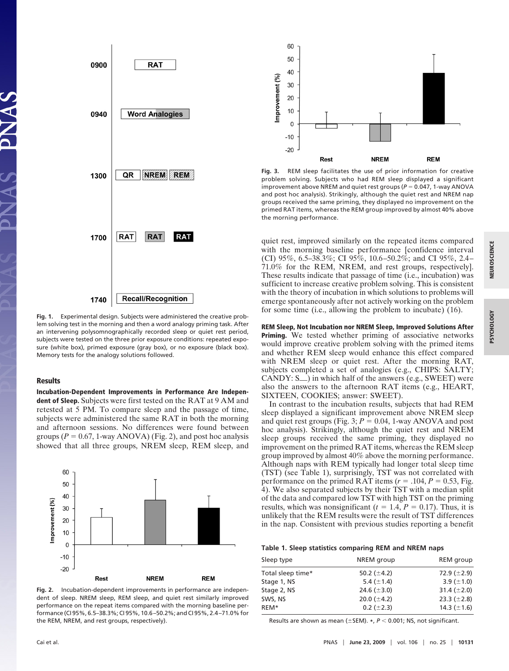

**Fig. 1.** Experimental design. Subjects were administered the creative problem solving test in the morning and then a word analogy priming task. After an intervening polysomnographically recorded sleep or quiet rest period, subjects were tested on the three prior exposure conditions: repeated exposure (white box), primed exposure (gray box), or no exposure (black box). Memory tests for the analogy solutions followed.

## **Results**

**Incubation-Dependent Improvements in Performance Are Independent of Sleep.** Subjects were first tested on the RAT at 9 AM and retested at 5 PM. To compare sleep and the passage of time, subjects were administered the same RAT in both the morning and afternoon sessions. No differences were found between groups  $(P = 0.67, 1$ -way ANOVA) (Fig. 2), and post hoc analysis showed that all three groups, NREM sleep, REM sleep, and



**Fig. 2.** Incubation-dependent improvements in performance are independent of sleep. NREM sleep, REM sleep, and quiet rest similarly improved performance on the repeat items compared with the morning baseline performance (CI 95%, 6.5–38.3%; CI 95%, 10.6 –50.2%; and CI 95%, 2.4 –71.0% for the REM, NREM, and rest groups, respectively).



**Fig. 3.** REM sleep facilitates the use of prior information for creative problem solving. Subjects who had REM sleep displayed a significant improvement above NREM and quiet rest groups ( $P = 0.047$ , 1-way ANOVA and post hoc analysis). Strikingly, although the quiet rest and NREM nap groups received the same priming, they displayed no improvement on the primed RAT items, whereas the REM group improved by almost 40% above the morning performance.

quiet rest, improved similarly on the repeated items compared with the morning baseline performance [confidence interval (CI) 95%, 6.5–38.3%; CI 95%, 10.6–50.2%; and CI 95%, 2.4– 71.0% for the REM, NREM, and rest groups, respectively]. These results indicate that passage of time (i.e., incubation) was sufficient to increase creative problem solving. This is consistent with the theory of incubation in which solutions to problems will emerge spontaneously after not actively working on the problem for some time (i.e., allowing the problem to incubate) (16).

**REM Sleep, Not Incubation nor NREM Sleep, Improved Solutions After Priming.** We tested whether priming of associative networks would improve creative problem solving with the primed items and whether REM sleep would enhance this effect compared with NREM sleep or quiet rest. After the morning RAT, subjects completed a set of analogies (e.g., CHIPS: SALTY;  $CANDY: S$ ) in which half of the answers (e.g., SWEET) were also the answers to the afternoon RAT items (e.g., HEART, SIXTEEN, COOKIES; answer: SWEET).

In contrast to the incubation results, subjects that had REM sleep displayed a significant improvement above NREM sleep and quiet rest groups (Fig. 3;  $P = 0.04$ , 1-way ANOVA and post hoc analysis). Strikingly, although the quiet rest and NREM sleep groups received the same priming, they displayed no improvement on the primed RAT items, whereas the REM sleep group improved by almost 40% above the morning performance. Although naps with REM typically had longer total sleep time (TST) (see Table 1), surprisingly, TST was not correlated with performance on the primed RAT items  $(r = .104, P = 0.53, Fig.$ 4). We also separated subjects by their TST with a median split of the data and compared low TST with high TST on the priming results, which was nonsignificant ( $t = 1.4, P = 0.17$ ). Thus, it is unlikely that the REM results were the result of TST differences in the nap. Consistent with previous studies reporting a benefit

|  |  |  |  | Table 1. Sleep statistics comparing REM and NREM naps |  |  |  |  |
|--|--|--|--|-------------------------------------------------------|--|--|--|--|
|--|--|--|--|-------------------------------------------------------|--|--|--|--|

| Sleep type        | NREM group       | REM group        |  |
|-------------------|------------------|------------------|--|
| Total sleep time* | 50.2 $(\pm 4.2)$ | 72.9 $(\pm 2.9)$ |  |
| Stage 1, NS       | 5.4 $(\pm 1.4)$  | 3.9 ( $\pm$ 1.0) |  |
| Stage 2, NS       | 24.6 $(\pm 3.0)$ | 31.4 $(\pm 2.0)$ |  |
| SWS, NS           | 20.0 $(\pm 4.2)$ | 23.3 $(\pm 2.8)$ |  |
| REM*              | $0.2 (\pm 2.3)$  | 14.3 $(\pm 1.6)$ |  |

Results are shown as mean ( $\pm$ SEM).  $*$ ,  $P < 0.001$ ; NS, not significant.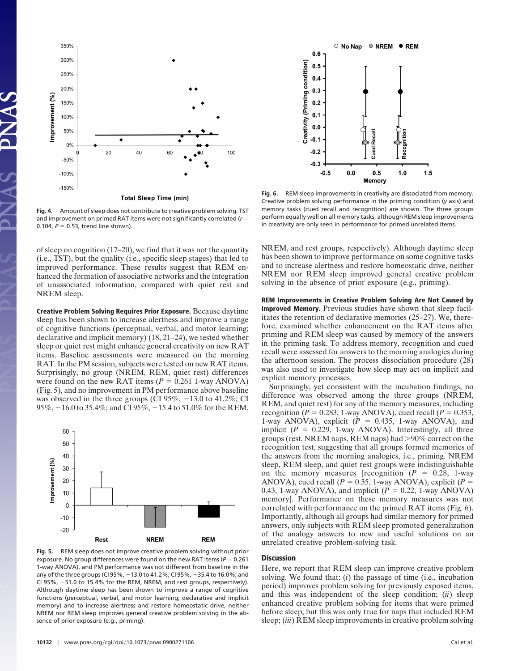

**Total Sleep Time (min)** 

**Fig. 4.** Amount of sleep does not contribute to creative problem solving. TST and improvement on primed RAT items were not significantly correlated (*r* 0.104,  $P = 0.53$ , trend line shown).

of sleep on cognition (17–20), we find that it was not the quantity (i.e., TST), but the quality (i.e., specific sleep stages) that led to improved performance. These results suggest that REM enhanced the formation of associative networks and the integration of unassociated information, compared with quiet rest and NREM sleep.

**Creative Problem Solving Requires Prior Exposure.** Because daytime sleep has been shown to increase alertness and improve a range of cognitive functions (perceptual, verbal, and motor learning; declarative and implicit memory) (18, 21–24), we tested whether sleep or quiet rest might enhance general creativity on new RAT items. Baseline assessments were measured on the morning RAT. In the PM session, subjects were tested on new RAT items. Surprisingly, no group (NREM, REM, quiet rest) differences were found on the new RAT items  $(P = 0.261$  1-way ANOVA) (Fig. 5), and no improvement in PM performance above baseline was observed in the three groups (CI 95%,  $-13.0$  to 41.2%; CI 95%, -16.0 to 35.4%; and CI 95%, -15.4 to 51.0% for the REM,



**Fig. 5.** REM sleep does not improve creative problem solving without prior exposure. No group differences were found on the new RAT items ( $P = 0.261$ ) 1-way ANOVA), and PM performance was not different from baseline in the any of the three groups (CI 95%, -13.0 to 41.2%; CI 95%, -35.4 to 16.0%; and CI 95%,  $-51.0$  to 15.4% for the REM, NREM, and rest groups, respectively). Although daytime sleep has been shown to improve a range of cognitive functions (perceptual, verbal, and motor learning; declarative and implicit memory) and to increase alertness and restore homeostatic drive, neither NREM nor REM sleep improves general creative problem solving in the absence of prior exposure (e.g., priming).



**Fig. 6.** REM sleep improvements in creativity are dissociated from memory. Creative problem solving performance in the priming condition (*y* axis) and memory tasks (cued recall and recognition) are shown. The three groups perform equally well on all memory tasks, although REM sleep improvements in creativity are only seen in performance for primed unrelated items.

NREM, and rest groups, respectively). Although daytime sleep has been shown to improve performance on some cognitive tasks and to increase alertness and restore homeostatic drive, neither NREM nor REM sleep improved general creative problem solving in the absence of prior exposure (e.g., priming).

**REM Improvements in Creative Problem Solving Are Not Caused by Improved Memory.** Previous studies have shown that sleep facilitates the retention of declarative memories (25–27). We, therefore, examined whether enhancement on the RAT items after priming and REM sleep was caused by memory of the answers in the priming task. To address memory, recognition and cued recall were assessed for answers to the morning analogies during the afternoon session. The process dissociation procedure (28) was also used to investigate how sleep may act on implicit and explicit memory processes.

Surprisingly, yet consistent with the incubation findings, no difference was observed among the three groups (NREM, REM, and quiet rest) for any of the memory measures, including recognition ( $P = 0.283$ , 1-way ANOVA), cued recall ( $P = 0.353$ , 1-way ANOVA), explicit  $(P = 0.435, 1$ -way ANOVA), and implicit  $(P = 0.229, 1$ -way ANOVA). Interestingly, all three groups (rest, NREM naps, REM naps) had >90% correct on the recognition test, suggesting that all groups formed memories of the answers from the morning analogies, i.e., priming. NREM sleep, REM sleep, and quiet rest groups were indistinguishable on the memory measures [recognition  $(P = 0.28, 1$ -way ANOVA), cued recall ( $P = 0.35$ , 1-way ANOVA), explicit ( $P =$ 0.43, 1-way ANOVA), and implicit ( $\dot{P} = 0.22$ , 1-way ANOVA) memory]. Performance on these memory measures was not correlated with performance on the primed RAT items (Fig. 6). Importantly, although all groups had similar memory for primed answers, only subjects with REM sleep promoted generalization of the analogy answers to new and useful solutions on an unrelated creative problem-solving task.

## **Discussion**

Here, we report that REM sleep can improve creative problem solving. We found that: (*i*) the passage of time (i.e., incubation period) improves problem solving for previously exposed items, and this was independent of the sleep condition; (*ii*) sleep enhanced creative problem solving for items that were primed before sleep, but this was only true for naps that included REM sleep; (*iii*) REM sleep improvements in creative problem solving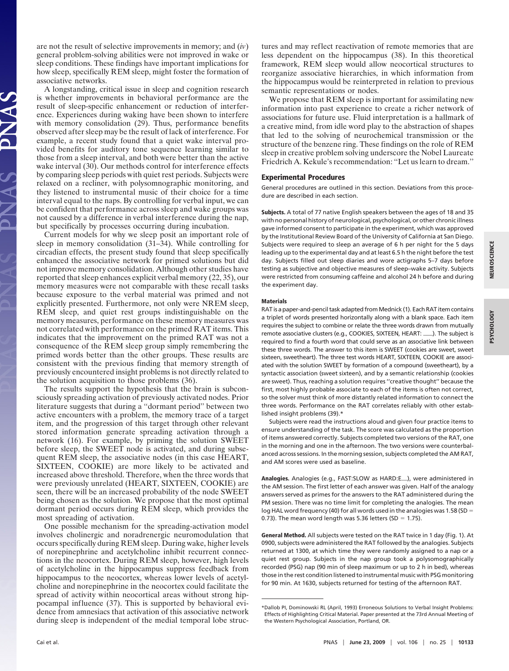are not the result of selective improvements in memory; and (*iv*) general problem-solving abilities were not improved in wake or sleep conditions. These findings have important implications for how sleep, specifically REM sleep, might foster the formation of associative networks.

A longstanding, critical issue in sleep and cognition research is whether improvements in behavioral performance are the result of sleep-specific enhancement or reduction of interference. Experiences during waking have been shown to interfere with memory consolidation (29). Thus, performance benefits observed after sleep may be the result of lack of interference. For example, a recent study found that a quiet wake interval provided benefits for auditory tone sequence learning similar to those from a sleep interval, and both were better than the active wake interval (30). Our methods control for interference effects by comparing sleep periods with quiet rest periods. Subjects were relaxed on a recliner, with polysomnographic monitoring, and they listened to instrumental music of their choice for a time interval equal to the naps. By controlling for verbal input, we can be confident that performance across sleep and wake groups was not caused by a difference in verbal interference during the nap, but specifically by processes occurring during incubation.

Current models for why we sleep posit an important role of sleep in memory consolidation (31–34). While controlling for circadian effects, the present study found that sleep specifically enhanced the associative network for primed solutions but did not improve memory consolidation. Although other studies have reported that sleep enhances explicit verbal memory (22, 35), our memory measures were not comparable with these recall tasks because exposure to the verbal material was primed and not explicitly presented. Furthermore, not only were NREM sleep, REM sleep, and quiet rest groups indistinguishable on the memory measures, performance on these memory measures was not correlated with performance on the primed RAT items. This indicates that the improvement on the primed RAT was not a consequence of the REM sleep group simply remembering the primed words better than the other groups. These results are consistent with the previous finding that memory strength of previously encountered insight problems is not directly related to the solution acquisition to those problems (36).

The results support the hypothesis that the brain is subconsciously spreading activation of previously activated nodes. Prior literature suggests that during a ''dormant period'' between two active encounters with a problem, the memory trace of a target item, and the progression of this target through other relevant stored information generate spreading activation through a network (16). For example, by priming the solution SWEET before sleep, the SWEET node is activated, and during subsequent REM sleep, the associative nodes (in this case HEART, SIXTEEN, COOKIE) are more likely to be activated and increased above threshold. Therefore, when the three words that were previously unrelated (HEART, SIXTEEN, COOKIE) are seen, there will be an increased probability of the node SWEET being chosen as the solution. We propose that the most optimal dormant period occurs during REM sleep, which provides the most spreading of activation.

One possible mechanism for the spreading-activation model involves cholinergic and noradrenergic neuromodulation that occurs specifically during REM sleep. During wake, higher levels of norepinephrine and acetylcholine inhibit recurrent connections in the neocortex. During REM sleep, however, high levels of acetylcholine in the hippocampus suppress feedback from hippocampus to the neocortex, whereas lower levels of acetylcholine and norepinephrine in the neocortex could facilitate the spread of activity within neocortical areas without strong hippocampal influence (37). This is supported by behavioral evidence from amnesiacs that activation of this associative network during sleep is independent of the medial temporal lobe structures and may reflect reactivation of remote memories that are less dependent on the hippocampus (38). In this theoretical framework, REM sleep would allow neocortical structures to reorganize associative hierarchies, in which information from the hippocampus would be reinterpreted in relation to previous semantic representations or nodes.

We propose that REM sleep is important for assimilating new information into past experience to create a richer network of associations for future use. Fluid interpretation is a hallmark of a creative mind, from idle word play to the abstraction of shapes that led to the solving of neurochemical transmission or the structure of the benzene ring. These findings on the role of REM sleep in creative problem solving underscore the Nobel Laureate Friedrich A. Kekule's recommendation: ''Let us learn to dream.''

### **Experimental Procedures**

General procedures are outlined in this section. Deviations from this procedure are described in each section.

**Subjects.** A total of 77 native English speakers between the ages of 18 and 35 with no personal history of neurological, psychological, or other chronic illness gave informed consent to participate in the experiment, which was approved by the Institutional Review Board of the University of California at San Diego. Subjects were required to sleep an average of 6 h per night for the 5 days leading up to the experimental day and at least 6.5 h the night before the test day. Subjects filled out sleep diaries and wore actigraphs 5–7 days before testing as subjective and objective measures of sleep–wake activity. Subjects were restricted from consuming caffeine and alcohol 24 h before and during the experiment day.

#### **Materials**

RAT is a paper-and-pencil task adapted from Mednick (1). Each RAT item contains a triplet of words presented horizontally along with a blank space. Each item requires the subject to combine or relate the three words drawn from mutually remote associative clusters (e.g., COOKIES, SIXTEEN, HEART: \_\_\_\_). The subject is required to find a fourth word that could serve as an associative link between these three words. The answer to this item is SWEET (cookies are sweet, sweet sixteen, sweetheart). The three test words HEART, SIXTEEN, COOKIE are associated with the solution SWEET by formation of a compound (sweetheart), by a syntactic association (sweet sixteen), and by a semantic relationship (cookies are sweet). Thus, reaching a solution requires ''creative thought'' because the first, most highly probable associate to each of the items is often not correct, so the solver must think of more distantly related information to connect the three words. Performance on the RAT correlates reliably with other established insight problems (39).\*

Subjects were read the instructions aloud and given four practice items to ensure understanding of the task. The score was calculated as the proportion of items answered correctly. Subjects completed two versions of the RAT, one in the morning and one in the afternoon. The two versions were counterbalanced across sessions. In the morning session, subjects completed the AM RAT, and AM scores were used as baseline.

Analogies. Analogies (e.g., FAST:SLOW as HARD:E.,, were administered in the AM session. The first letter of each answer was given. Half of the analogy answers served as primes for the answers to the RAT administered during the PM session. There was no time limit for completing the analogies. The mean log HAL word frequency (40) for all words used in the analogies was 1.58 (SD = 0.73). The mean word length was 5.36 letters (SD = 1.75).

**General Method.** All subjects were tested on the RAT twice in 1 day (Fig. 1). At 0900, subjects were administered the RAT followed by the analogies. Subjects returned at 1300, at which time they were randomly assigned to a nap or a quiet rest group. Subjects in the nap group took a polysomographically recorded (PSG) nap (90 min of sleep maximum or up to 2 h in bed), whereas those in the rest condition listened to instrumental music with PSG monitoring for 90 min. At 1630, subjects returned for testing of the afternoon RAT.

<sup>\*</sup>Dallob PI, Dominowski RL (April, 1993) Erroneous Solutions to Verbal Insight Problems: Effects of Highlighting Critical Material. Paper presented at the 73rd Annual Meeting of the Western Psychological Association, Portland, OR.